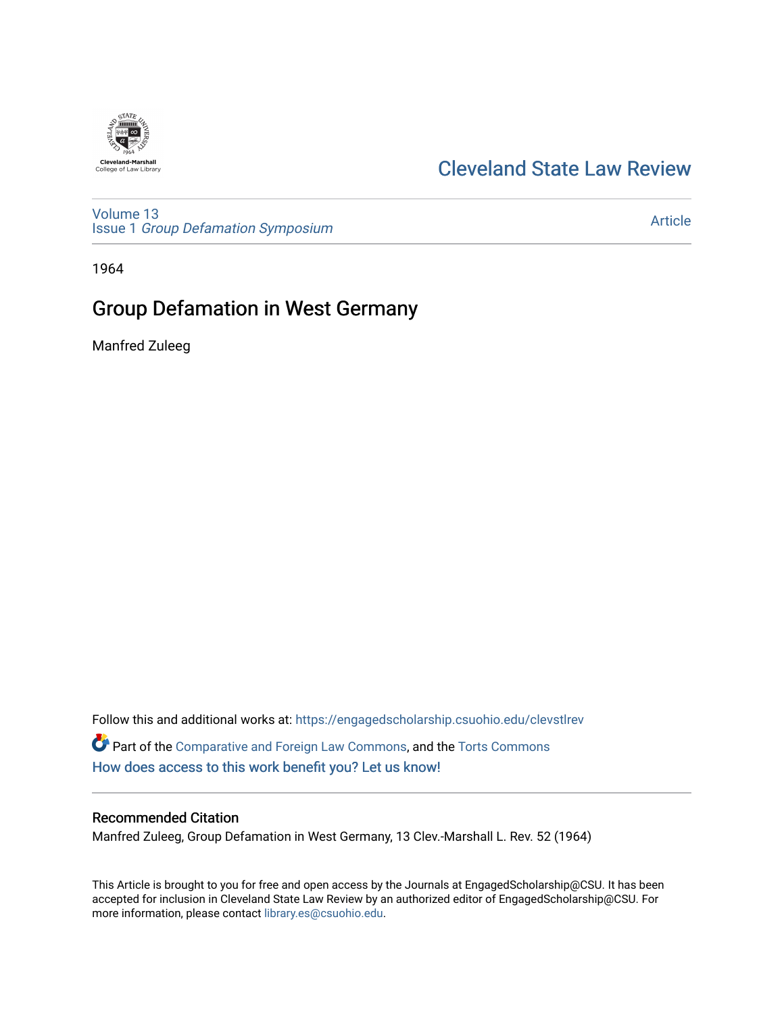# **Cleveland-Marshall**<br>College of Law Library

## [Cleveland State Law Review](https://engagedscholarship.csuohio.edu/clevstlrev)

[Volume 13](https://engagedscholarship.csuohio.edu/clevstlrev/vol13) Issue 1 [Group Defamation Symposium](https://engagedscholarship.csuohio.edu/clevstlrev/vol13/iss1) 

[Article](https://engagedscholarship.csuohio.edu/clevstlrev/vol13/iss1/7) 

1964

# Group Defamation in West Germany

Manfred Zuleeg

Follow this and additional works at: [https://engagedscholarship.csuohio.edu/clevstlrev](https://engagedscholarship.csuohio.edu/clevstlrev?utm_source=engagedscholarship.csuohio.edu%2Fclevstlrev%2Fvol13%2Fiss1%2F7&utm_medium=PDF&utm_campaign=PDFCoverPages) Part of the [Comparative and Foreign Law Commons,](http://network.bepress.com/hgg/discipline/836?utm_source=engagedscholarship.csuohio.edu%2Fclevstlrev%2Fvol13%2Fiss1%2F7&utm_medium=PDF&utm_campaign=PDFCoverPages) and the Torts Commons [How does access to this work benefit you? Let us know!](http://library.csuohio.edu/engaged/)

## Recommended Citation

Manfred Zuleeg, Group Defamation in West Germany, 13 Clev.-Marshall L. Rev. 52 (1964)

This Article is brought to you for free and open access by the Journals at EngagedScholarship@CSU. It has been accepted for inclusion in Cleveland State Law Review by an authorized editor of EngagedScholarship@CSU. For more information, please contact [library.es@csuohio.edu](mailto:library.es@csuohio.edu).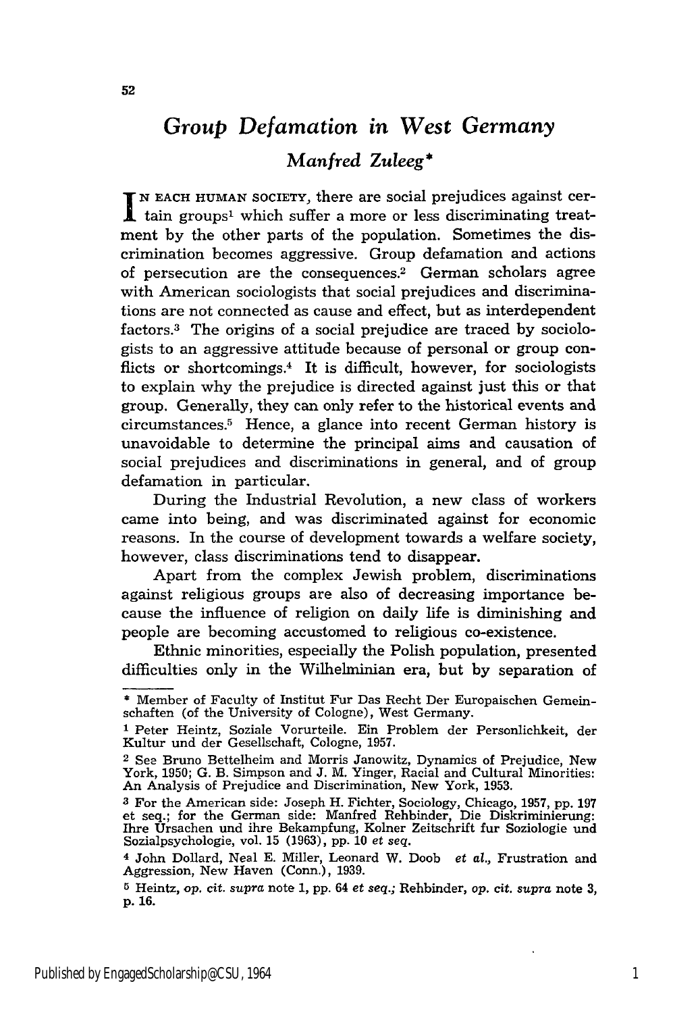# *Group Defamation in West Germany Manfred Zuleeg\**

**N EACH HUMAN** SOCIETY, there are social prejudices against cer- $\mathbf{\mathbf{\underline{I}}}$  tain groups<sup>1</sup> which suffer a more or less discriminating treatment by the other parts of the population. Sometimes the discrimination becomes aggressive. Group defamation and actions of persecution are the consequences.<sup>2</sup> German scholars agree with American sociologists that social prejudices and discriminations are not connected as cause and effect, but as interdependent factors.<sup>3</sup> The origins of a social prejudice are traced by sociologists to an aggressive attitude because of personal or group conflicts or shortcomings.<sup>4</sup> It is difficult, however, for sociologists to explain why the prejudice is directed against just this or that group. Generally, they can only refer to the historical events and circumstances. 5 Hence, a glance into recent German history is unavoidable to determine the principal aims and causation of social prejudices and discriminations in general, and of group defamation in particular.

During the Industrial Revolution, a new class of workers came into being, and was discriminated against for economic reasons. In the course of development towards a welfare society, however, class discriminations tend to disappear.

Apart from the complex Jewish problem, discriminations against religious groups are also of decreasing importance because the influence of religion on daily life is diminishing and people are becoming accustomed to religious co-existence.

Ethnic minorities, especially the Polish population, presented difficulties only in the Wilhelminian era, but by separation of

<sup>\*</sup> Member of Faculty of Institut Fur Das Recht Der Europaischen Gemeinschaften (of the University of Cologne), West Germany.

**<sup>1</sup>** Peter Heintz, Soziale Vorurteile. Ein Problem der Personlichkeit, der Kultur und der Gesellschaft, Cologne, 1957.

<sup>2</sup> See Bruno Bettelheim and Morris Janowitz, Dynamics of Prejudice, New York, 1950; G. B. Simpson and J. M. Yinger, Racial and Cultural Minorities: An Analysis of Prejudice and Discrimination, New York, 1953.

**<sup>3</sup>** For the American side: Joseph H. Fichter, Sociology, Chicago, 1957, pp. 197 et seq.; for the German side: Manfred Rehbinder, Die Diskriminierung: Ihre Ursachen und ihre Bekampfung, Kolner Zeitschrift fur Soziologie und Sozialpsychologie, vol. 15 (1963), pp. 10 *et seq.*

**<sup>4</sup>** John Dollard, Neal E. Miller, Leonard W. Doob *et al.,* Frustration and Aggression, New Haven (Conn.), 1939.

**<sup>5</sup>** Heintz, *op.* cit. *supra* note **1, pp.** 64 *et seq.;* Rehbinder, op. cit. *supra* note **3, p.** 16.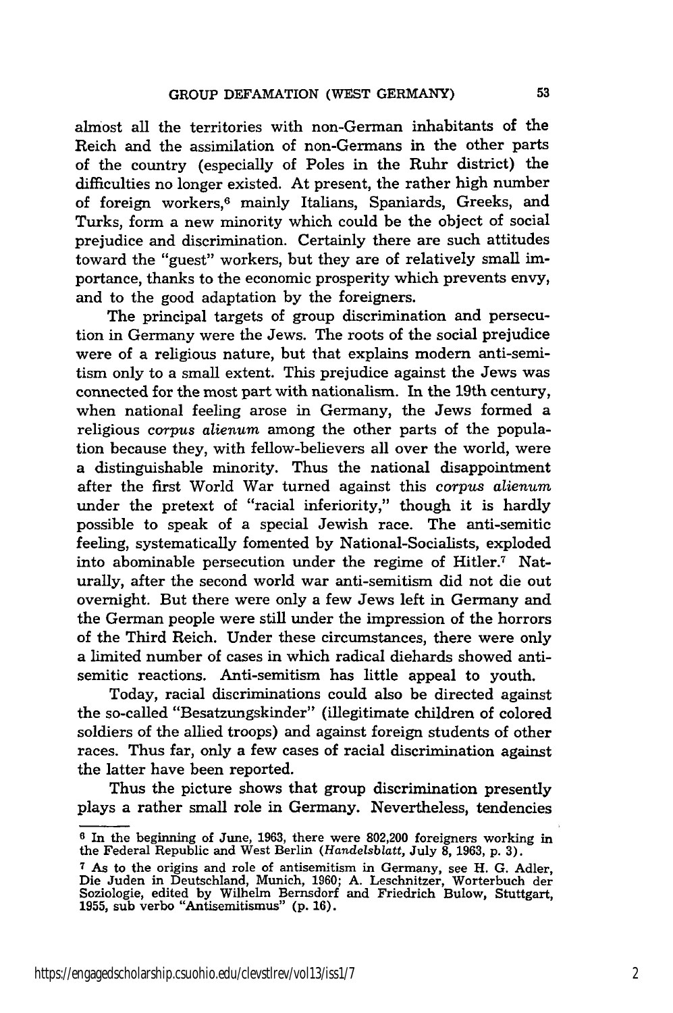almost all the territories with non-German inhabitants of the Reich and the assimilation of non-Germans in the other parts of the country (especially of Poles in the Ruhr district) the difficulties no longer existed. At present, the rather high number of foreign workers,<sup>6</sup> mainly Italians, Spaniards, Greeks, and Turks, form a new minority which could be the object of social prejudice and discrimination. Certainly there are such attitudes toward the "guest" workers, but they are of relatively small importance, thanks to the economic prosperity which prevents envy, and to the good adaptation by the foreigners.

The principal targets of group discrimination and persecution in Germany were the Jews. The roots of the social prejudice were of a religious nature, but that explains modern anti-semitism only to a small extent. This prejudice against the Jews was connected for the most part with nationalism. In the 19th century, when national feeling arose in Germany, the Jews formed a religious *corpus alienum* among the other parts of the population because they, with fellow-believers all over the world, were a distinguishable minority. Thus the national disappointment after the first World War turned against this corpus *alienum* under the pretext of "racial inferiority," though it is hardly possible to speak of a special Jewish race. The anti-semitic feeling, systematically fomented by National-Socialists, exploded into abominable persecution under the regime of Hitler.7 Naturally, after the second world war anti-semitism did not die out overnight. But there were only a few Jews left in Germany and the German people were still under the impression of the horrors of the Third Reich. Under these circumstances, there were only a limited number of cases in which radical diehards showed antisemitic reactions. Anti-semitism has little appeal to youth.

Today, racial discriminations could also be directed against the so-called "Besatzungskinder" (illegitimate children of colored soldiers of the allied troops) and against foreign students of other races. Thus far, only a few cases of racial discrimination against the latter have been reported.

Thus the picture shows that group discrimination presently plays a rather small role in Germany. Nevertheless, tendencies

**<sup>6</sup>** In the beginning of June, 1963, there were 802,200 foreigners working in the Federal Republic and West Berlin *(Handelsblatt,* July **8,** 1963, p. 3).

**<sup>7</sup>**As to the origins and role of antisemitism in Germany, see H. G. Adler, Die Juden in Deutschland, Munich, 1960; A. Leschnitzer, Worterbuch der Soziologie, edited by Wilhelm Bernsdorf and Friedrich Bulow, Stuttgart, **1955,** sub verbo "Antisemitismus" **(p. 16).**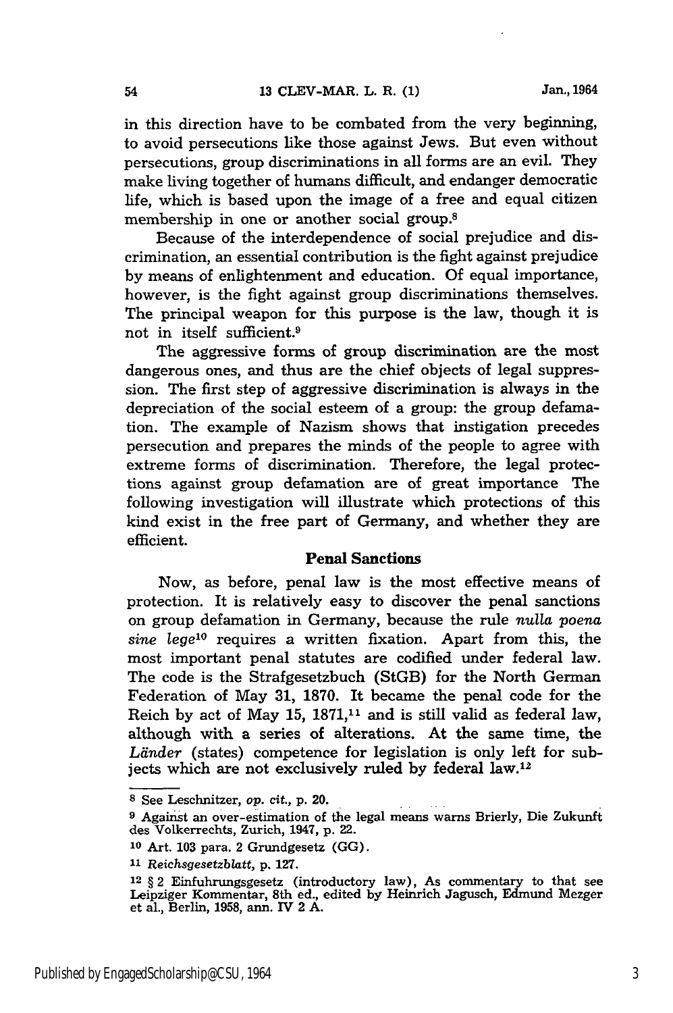in this direction have to be combated from the very beginning, to avoid persecutions like those against Jews. But even without persecutions, group discriminations in all forms are an evil. They make living together of humans difficult, and endanger democratic life, which is based upon the image of a free and equal citizen membership in one or another social group.8

Because of the interdependence of social prejudice and discrimination, an essential contribution is the fight against prejudice by means of enlightenment and education. Of equal importance, however, is the fight against group discriminations themselves. The principal weapon for this purpose is the law, though it is not in itself sufficient.9

The aggressive forms of group discrimination are the most dangerous ones, and thus are the chief objects of legal suppression. The first step of aggressive discrimination is always in the depreciation of the social esteem of a group: the group defamation. The example of Nazism shows that instigation precedes persecution and prepares the minds of the people to agree with extreme forms of discrimination. Therefore, the legal protections against group defamation are of great importance The following investigation will illustrate which protections of this kind exist in the free part of Germany, and whether they are efficient.

#### **Penal Sanctions**

Now, as before, penal law is the most effective means of protection. It is relatively easy to discover the penal sanctions on group defamation in Germany, because the rule *nulla poena sine lege' °* requires a written fixation. Apart from this, the most important penal statutes are codified under federal law. The code is the Strafgesetzbuch (StGB) for the North German Federation of May 31, **1870.** It became the penal code for the Reich by act of May 15,  $1871<sub>11</sub>$  and is still valid as federal law, although with a series of alterations. At the same time, the Länder (states) competence for legislation is only left for subjects which are not exclusively ruled **by** federal law.'<sup>2</sup>

**<sup>8</sup>** See Leschnitzer, *op. cit.,* p. 20.

**<sup>9</sup>**Against an over-estimation of the legal means warns Brierly, Die Zukunft des Volkerrechts, Zurich, 1947, p. 22.

**<sup>10</sup>**Art. 103 para. 2 Grundgesetz (GG).

**<sup>11</sup>***Reichsgesetzblatt,* p. **127.**

<sup>12 § 2</sup> Einfuhrungsgesetz (introductory law), As commentary to that see Leipziger Kommentar, 8th ed., edited **by** Heinrich Jagusch, Edmund Mezger et al., Berlin, **1958,** ann. IV 2 **A.**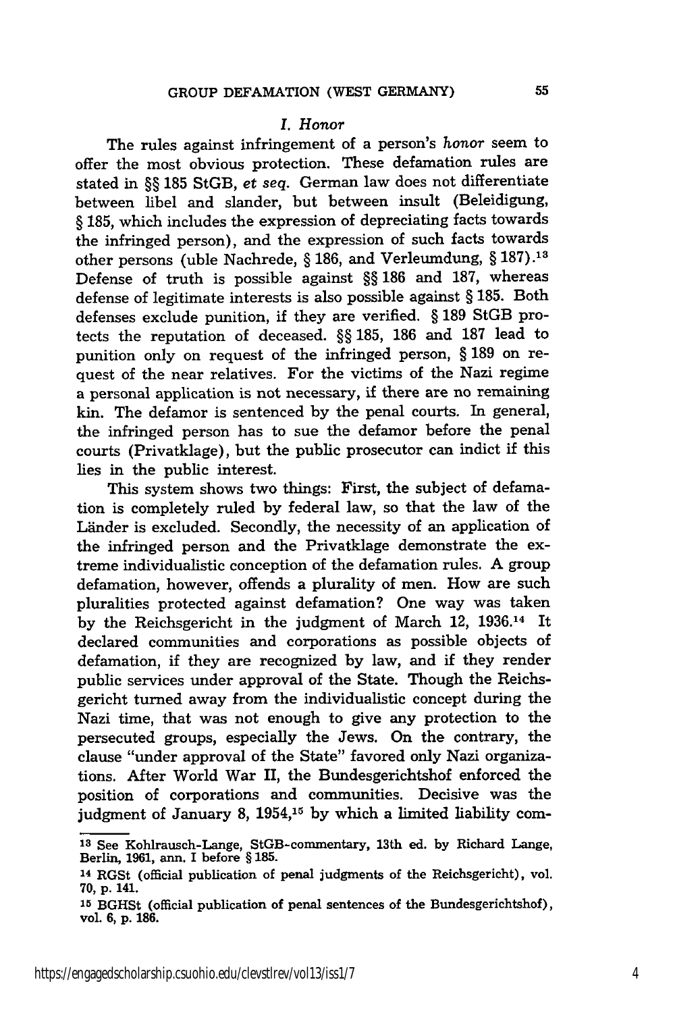#### *I. Honor*

The rules against infringement of a person's honor seem to offer the most obvious protection. These defamation rules are stated in §§ 185 StGB, *et seq.* German law does not differentiate between libel and slander, but between insult (Beleidigung, § 185, which includes the expression of depreciating facts towards the infringed person), and the expression of such facts towards other persons (uble Nachrede, § 186, and Verleumdung, § **187).13** Defense of truth is possible against §§ 186 and 187, whereas defense of legitimate interests is also possible against § 185. Both defenses exclude punition, if they are verified. § 189 StGB protects the reputation of deceased. §§ 185, 186 and 187 lead to punition only on request of the infringed person, § 189 on request of the near relatives. For the victims of the Nazi regime a personal application is not necessary, if there are no remaining kin. The defamor is sentenced by the penal courts. In general, the infringed person has to sue the defamor before the penal courts (Privatklage), but the public prosecutor can indict if this lies in the public interest.

This system shows two things: First, the subject of defamation is completely ruled by federal law, so that the law of the Länder is excluded. Secondly, the necessity of an application of the infringed person and the Privatklage demonstrate the extreme individualistic conception of the defamation rules. A group defamation, however, offends a plurality of men. How are such pluralities protected against defamation? One way was taken by the Reichsgericht in the judgment of March 12, 1936.14 It declared communities and corporations as possible objects of defamation, if they are recognized by law, and if they render public services under approval of the State. Though the Reichsgericht turned away from the individualistic concept during the Nazi time, that was not enough to give any protection to the persecuted groups, especially the Jews. On the contrary, the clause "under approval of the State" favored only Nazi organizations. After World War II, the Bundesgerichtshof enforced the position of corporations and communities. Decisive was the judgment of January 8, 1954,15 **by** which a limited liability com-

**Is** See Kohlrausch-Lange, StGB-commentary, 13th ed. by Richard Lange, Berlin, 1961, ann. I before § 185.

<sup>14</sup>RGSt (official publication of penal judgments of the Reichsgericht), vol. **70, p.** 141.

**<sup>15</sup>**BGHSt (official publication of penal sentences of the Bundesgerichtshof), **vol. 6, p. 186.**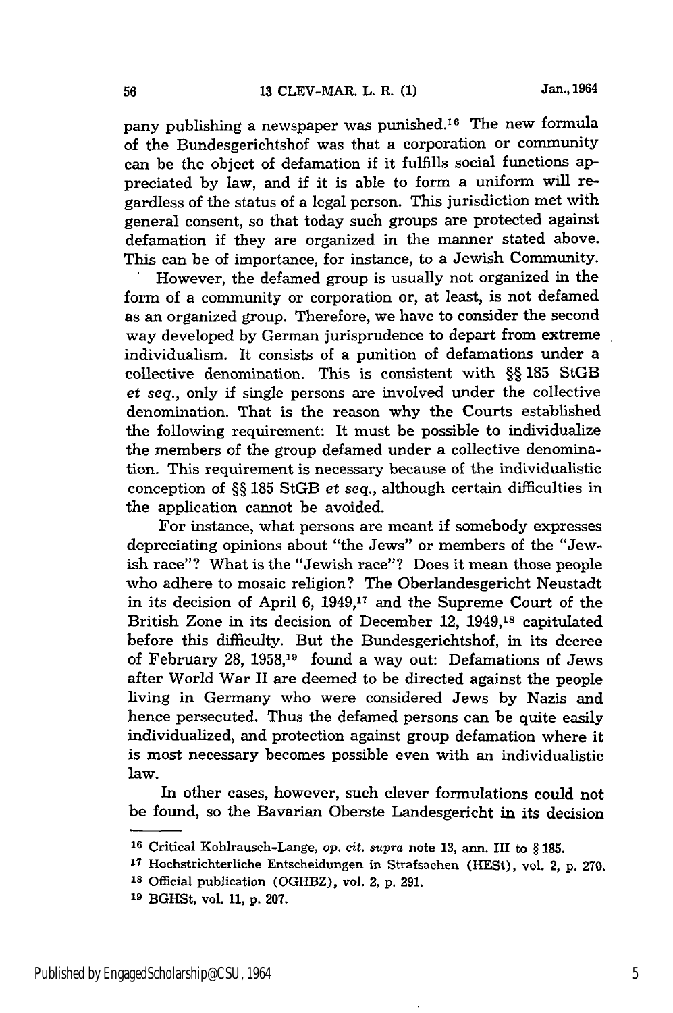pany publishing a newspaper was punished.<sup>16</sup> The new formula of the Bundesgerichtshof was that a corporation or community can be the object of defamation if it fulfills social functions appreciated by law, and if it is able to form a uniform will regardless of the status of a legal person. This jurisdiction met with general consent, so that today such groups are protected against defamation if they are organized in the manner stated above. This can be of importance, for instance, to a Jewish Community. However, the defamed group is usually not organized in the

form of a community or corporation or, at least, is not defamed as an organized group. Therefore, we have to consider the second way developed by German jurisprudence to depart from extreme individualism. It consists of a punition of defamations under a collective denomination. This is consistent with **§§** 185 StGB *et seq.,* only if single persons are involved under the collective denomination. That is the reason why the Courts established the following requirement: It must be possible to individualize the members of the group defamed under a collective denomination. This requirement is necessary because of the individualistic conception of §§ 185 StGB *et seq.,* although certain difficulties in the application cannot be avoided.

For instance, what persons are meant if somebody expresses depreciating opinions about "the Jews" or members of the "Jewish race"? What is the "Jewish race"? Does it mean those people who adhere to mosaic religion? The Oberlandesgericht Neustadt in its decision of April 6, 1949,17 and the Supreme Court of the British Zone in its decision of December 12, **1949,18** capitulated before this difficulty. But the Bundesgerichtshof, in its decree of February 28, 1958,19 found a way out: Defamations of Jews after World War II are deemed to be directed against the people living in Germany who were considered Jews by Nazis and hence persecuted. Thus the defamed persons can be quite easily individualized, and protection against group defamation where it is most necessary becomes possible even with an individualistic law.

In other cases, however, such clever formulations could not be found, so the Bavarian Oberste Landesgericht in its decision

**<sup>16</sup>**Critical Kohlrausch-Lange, *op. cit. supra* note 13, ann. III to § 185.

**<sup>17</sup>**Hochstrichterliche Entscheidungen in Strafsachen (HESt), vol. 2, p. 270.

**<sup>18</sup>**Official publication (OGHBZ), vol. 2, p. 291.

**<sup>19</sup>**BGHSt, vol. **11, p. 207.**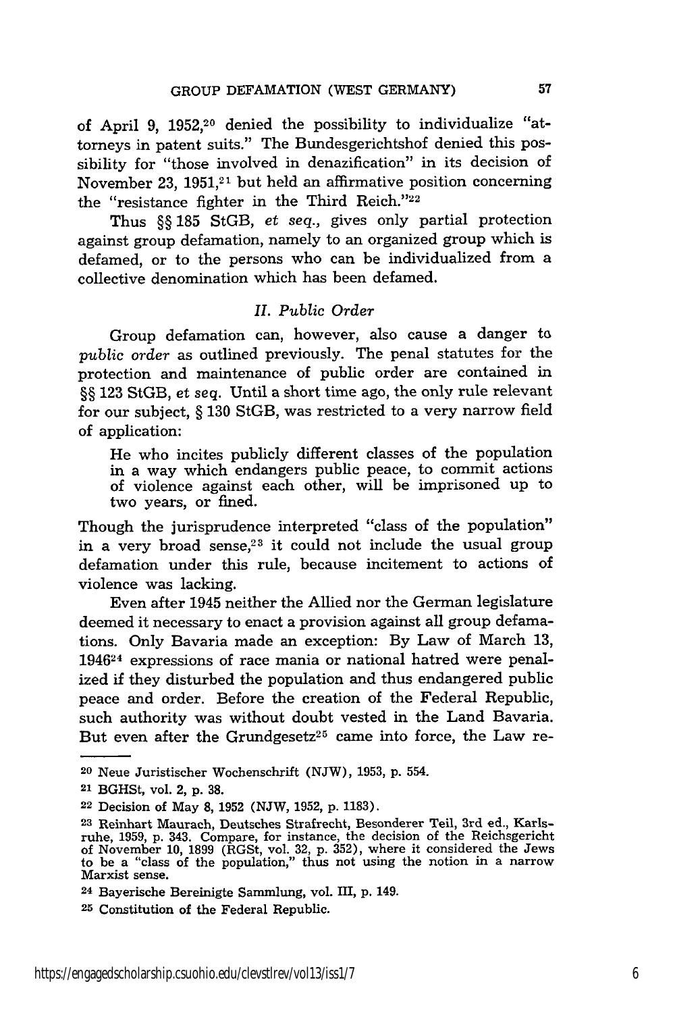of April 9, 1952,20 denied the possibility to individualize "attorneys in patent suits." The Bundesgerichtshof denied this possibility for "those involved in denazification" in its decision of November 23,  $1951<sup>21</sup>$  but held an affirmative position concerning the "resistance fighter in the Third Reich."<sup>22</sup>

Thus §§ 185 StGB, *et seq.,* gives only partial protection against group defamation, namely to an organized group which is defamed, or to the persons who can be individualized from a collective denomination which has been defamed.

#### *II. Public Order*

Group defamation can, however, also cause a danger to *public order* as outlined previously. The penal statutes for the protection and maintenance of public order are contained in §§ 123 StGB, et seq. Until a short time ago, the only rule relevant for our subject, § 130 StGB, was restricted to a very narrow field of application:

He who incites publicly different classes of the population in a way which endangers public peace, to commit actions of violence against each other, will be imprisoned up to two years, or fined.

Though the jurisprudence interpreted "class of the population" in a very broad sense,<sup>23</sup> it could not include the usual group defamation under this rule, because incitement to actions of violence was lacking.

Even after 1945 neither the Allied nor the German legislature deemed it necessary to enact a provision against all group defamations. Only Bavaria made an exception: By Law of March 13, 194624 expressions of race mania or national hatred were penalized if they disturbed the population and thus endangered public peace and order. Before the creation of the Federal Republic, such authority was without doubt vested in the Land Bavaria. But even after the Grundgesetz<sup>25</sup> came into force, the Law re-

**<sup>20</sup>**Neue Juristischer Wochenschrift (NJW), 1953, p. 554.

<sup>21</sup> BGHSt, vol. 2, p. 38.

<sup>22</sup> Decision of May 8, 1952 (NJW, 1952, p. 1183).

**<sup>23</sup>** Reinhart Maurach, Deutsches Strafrecht, Besonderer Teil, 3rd ed., Karlsruhe, 1959, p. 343. Compare, for instance, the decision of the Reichsgericht<br>of November 10, 1899 (RGSt, vol. 32, p. 352), where it considered the Jews<br>to be a "class of the population," thus not using the notion in a narr

**<sup>24</sup>**Bayerische Bereinigte Sammlung, vol. III, p. 149.

**<sup>25</sup>** Constitution of the Federal Republic.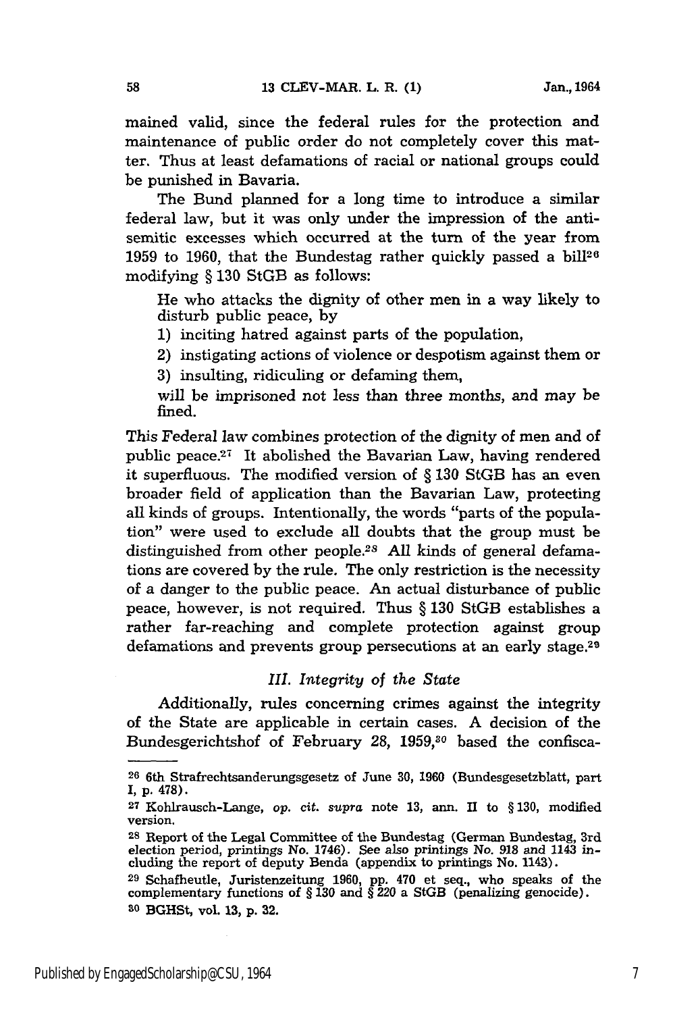mained valid, since the federal rules for the protection and maintenance of public order do not completely cover this matter. Thus at least defamations of racial or national groups could be punished in Bavaria.

The Bund planned for a long time to introduce a similar federal law, but it was only under the impression of the antisemitic excesses which occurred at the turn of the year from 1959 to 1960, that the Bundestag rather quickly passed a bill<sup>26</sup> modifying § **130** StGB as follows:

He who attacks the dignity of other men in a way likely to disturb public peace, by

1) inciting hatred against parts of the population,

2) instigating actions of violence or despotism against them or

3) insulting, ridiculing or defaming them,

will be imprisoned not less than three months, and may be fined.

This Federal law combines protection of the dignity of men and of public peace.<sup>27</sup> It abolished the Bavarian Law, having rendered it superfluous. The modified version of § **130** StGB has an even broader field of application than the Bavarian Law, protecting all kinds of groups. Intentionally, the words "parts of the population" were used to exclude all doubts that the group must be distinguished from other people.<sup>28</sup> All kinds of general defamations are covered by the rule. The only restriction is the necessity of a danger to the public peace. An actual disturbance of public peace, however, is not required. Thus § 130 StGB establishes a rather far-reaching and complete protection against group defamations and prevents group persecutions at an early stage.<sup>29</sup>

#### *III. Integrity of the State*

Additionally, rules concerning crimes against the integrity of the State are applicable in certain cases. A decision of the Bundesgerichtshof of February 28, 1959,<sup>30</sup> based the confisca-

58

**<sup>26</sup>**6th Strafrechtsanderungsgesetz of June 30, 1960 (Bundesgesetzblatt, part **I, p.** 478).

**<sup>27</sup>**Kohlrausch-Lange, *op.* cit. *supra* note 13, ann. II to § 130, modified version.

<sup>&</sup>lt;sup>28</sup> Report of the Legal Committee of the Bundestag (German Bundestag, 3rd election period, printings No. 1746). See also printings No. **918** and 1143 in-cluding the report of deputy Benda (appendix to printings No. 1143).

**<sup>29</sup>**Schafheutle, Juristenzeitung 1960, pp. 470 et seq., who speaks of the complementary functions of § **130** and § 220 a StGB (penalizing genocide). **30** BGHSt, vol. **13,** p. **32.**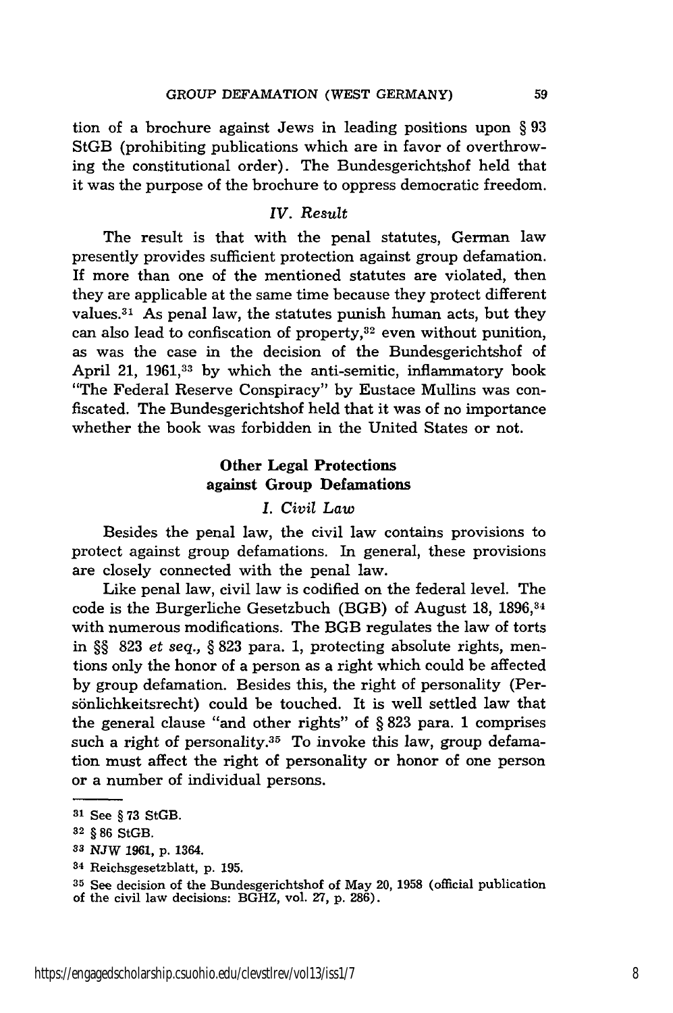tion of a brochure against Jews in leading positions upon § 93 StGB (prohibiting publications which are in favor of overthrowing the constitutional order). The Bundesgerichtshof held that it was the purpose of the brochure to oppress democratic freedom.

#### *IV. Result*

The result is that with the penal statutes, German law presently provides sufficient protection against group defamation. If more than one of the mentioned statutes are violated, then they are applicable at the same time because they protect different values. 31 As penal law, the statutes punish human acts, but they can also lead to confiscation of property,32 even without punition, as was the case in the decision of the Bundesgerichtshof of April 21, 1961,<sup>33</sup> by which the anti-semitic, inflammatory book "The Federal Reserve Conspiracy" by Eustace Mullins was confiscated. The Bundesgerichtshof held that it was of no importance whether the book was forbidden in the United States or not.

## **Other Legal Protections against Group Defamations**

### *I. Civil Law*

Besides the penal law, the civil law contains provisions to protect against group defamations. In general, these provisions are closely connected with the penal law.

Like penal law, civil law is codified on the federal level. The code is the Burgerliche Gesetzbuch (BGB) of August 18, 1896, 34 with numerous modifications. The BGB regulates the law of torts in §§ 823 *et seq.,* § 823 para. 1, protecting absolute rights, mentions only the honor of a person as a right which could be affected by group defamation. Besides this, the right of personality (Persönlichkeitsrecht) could be touched. It is well settled law that the general clause "and other rights" of § 823 para. 1 comprises such a right of personality. $35$  To invoke this law, group defamation must affect the right of personality or honor of one person or a number of individual persons.

**<sup>31</sup>** See § **73** StGB.

**<sup>32</sup>** § 86 StGB.

**<sup>3</sup>** NJW 1961, **p.** 1364.

**<sup>34</sup>**Reichsgesetzblatt, p. 195.

**<sup>35</sup>**See decision of the Bundesgerichtshof of May 20, 1958 (official publication of the civil law decisions: BGHZ, vol. **27,** p. 286).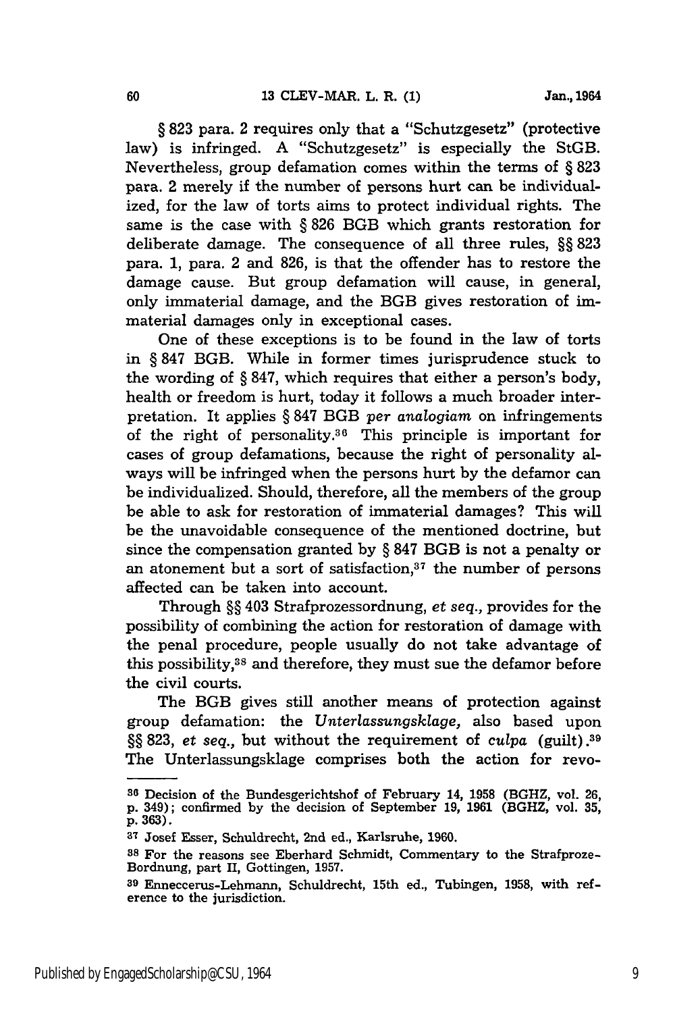§ **823** para. 2 requires only that a "Schutzgesetz" (protective law) is infringed. A "Schutzgesetz" is especially the StGB. Nevertheless, group defamation comes within the terms of § **823** para. 2 merely if the number of persons hurt can be individualized, for the law of torts aims to protect individual rights. The same is the case with § **826** BGB which grants restoration for deliberate damage. The consequence of all three rules, §§ **823** para. **1,** para. 2 and **826,** is that the offender has to restore the damage cause. But group defamation will cause, in general, only immaterial damage, and the BGB gives restoration of immaterial damages only in exceptional cases.

One of these exceptions is to be found in the law of torts in § **847** BGB. While in former times jurisprudence stuck to the wording of § **847,** which requires that either a person's body, health or freedom is hurt, today it follows a much broader interpretation. It applies § 847 BGB *per analogiam* on infringements of the right of personality.36 This principle is important for cases of group defamations, because the right of personality always will be infringed when the persons hurt by the defamor can be individualized. Should, therefore, all the members of the group be able to ask for restoration of immaterial damages? This will be the unavoidable consequence of the mentioned doctrine, but since the compensation granted by § 847 BGB is not a penalty or an atonement but a sort of satisfaction, $37$  the number of persons affected can be taken into account.

Through §§ 403 Strafprozessordnung, *et seq.,* provides for the possibility of combining the action for restoration of damage with the penal procedure, people usually do not take advantage of this possibility,38 and therefore, they must sue the defamor before the civil courts.

The BGB gives still another means of protection against group defamation: the *Unterlassungsklage,* also based upon §§ 823, *et seq.,* but without the requirement of *culpa* (guilt).39 The Unterlassungsklage comprises both the action for revo-

**<sup>36</sup>**Decision of the Bundesgerichtshof of February 14, 1958 (BGHZ, vol. 26, p. 349); confirmed by the decision of September 19, 1961 (BGHZ, vol. **35, p. 363).**

**<sup>37</sup>**Josef Esser, Schuldrecht, 2nd ed., Karlsruhe, **1960.**

**<sup>38</sup>** For the reasons see Eberhard Schmidt, Commentary to the Strafproze-Bordnung, part II, Gottingen, **1957.**

**<sup>39</sup>** Enneccerus-Lehmann, Schuldrecht, 15th ed., Tubingen, **1958,** with reference to the jurisdiction.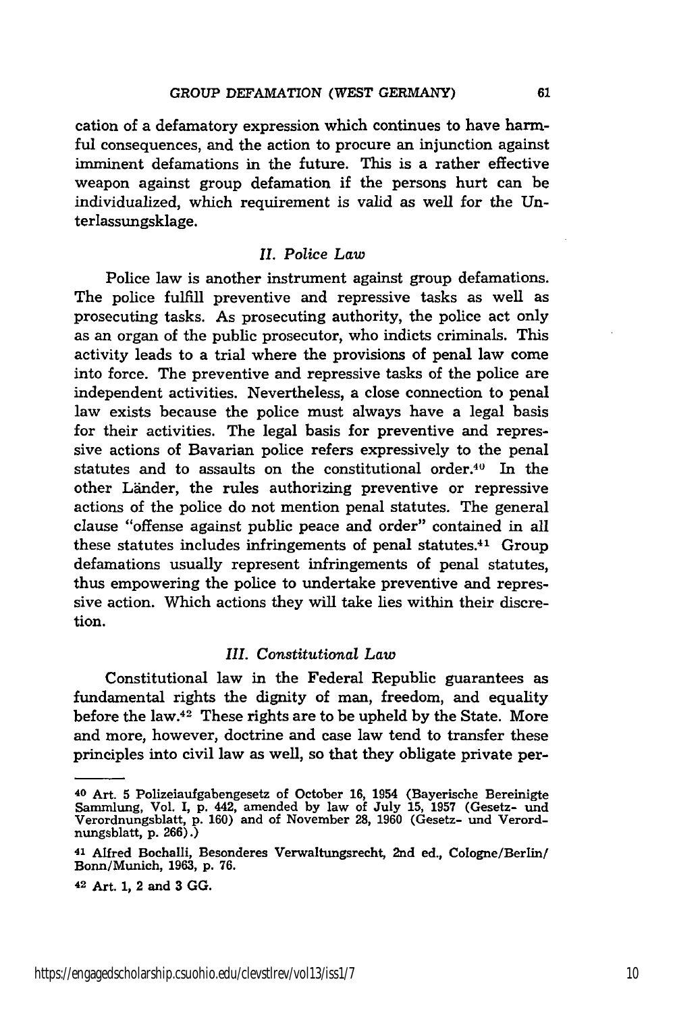cation of a defamatory expression which continues to have harmful consequences, and the action to procure an injunction against imminent defamations in the future. This is a rather effective weapon against group defamation if the persons hurt can be individualized, which requirement is valid as well for the Unterlassungsklage.

#### *II. Police Law*

Police law is another instrument against group defamations. The police fulfill preventive and repressive tasks as well as prosecuting tasks. As prosecuting authority, the police act only as an organ of the public prosecutor, who indicts criminals. This activity leads to a trial where the provisions of penal law come into force. The preventive and repressive tasks of the police are independent activities. Nevertheless, a close connection to penal law exists because the police must always have a legal basis for their activities. The legal basis for preventive and repressive actions of Bavarian police refers expressively to the penal statutes and to assaults on the constitutional order.<sup>40</sup> In the other Länder, the rules authorizing preventive or repressive actions of the police do not mention penal statutes. The general clause "offense against public peace and order" contained in all these statutes includes infringements of penal statutes.<sup>41</sup> Group defamations usually represent infringements of penal statutes, thus empowering the police to undertake preventive and repressive action. Which actions they will take lies within their discretion.

#### *III. Constitutional Law*

Constitutional law in the Federal Republic guarantees as fundamental rights the dignity of man, freedom, and equality before the law. $42$  These rights are to be upheld by the State. More and more, however, doctrine and case law tend to transfer these principles into civil law as well, so that they obligate private per-

42 Art. **1,** 2 and **3 GG.**

<sup>40</sup> Art. **5** Polizeiaufgabengesetz of October 16, 1954 (Bayerische Bereinigte Sammlung, Vol. I, p. 442, amended by law of July 15, 1957 (Gesetz- und Verordnungsblatt, p. 160) and of November 28, 1960 (Gesetz- und Verordnungsblatt, p. 266).)

**<sup>41</sup>**Alfred Bochalli, Besonderes Verwaltungsrecht, 2nd ed., Cologne/Berlin/ Bonn/Munich, **1963,** p. **76.**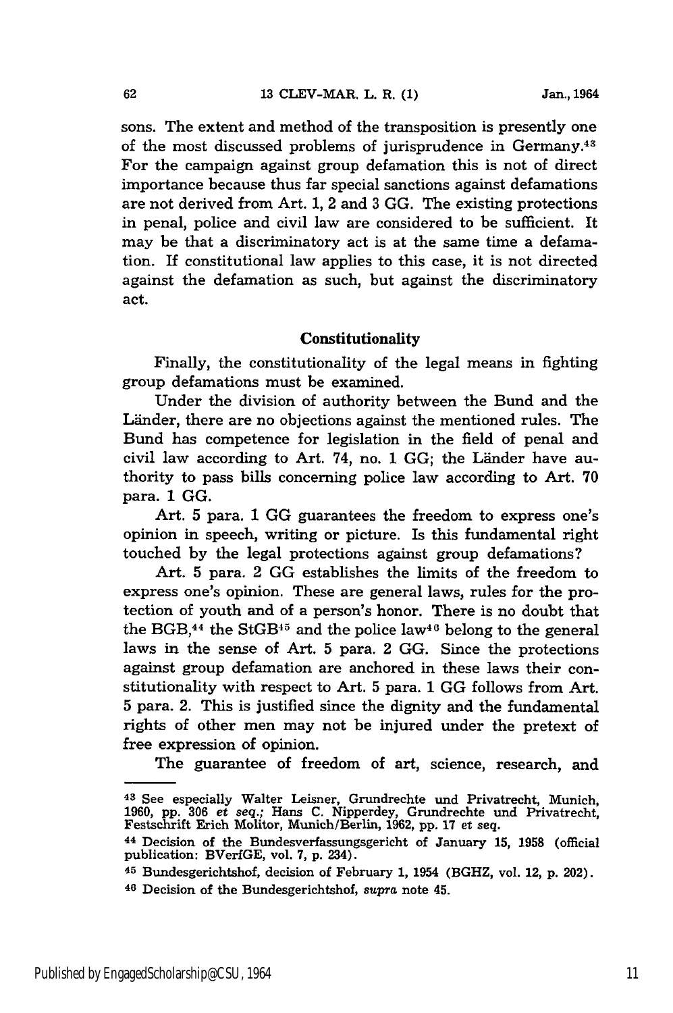sons. The extent and method of the transposition is presently one of the most discussed problems of jurisprudence in Germany.<sup>43</sup> For the campaign against group defamation this is not of direct importance because thus far special sanctions against defamations are not derived from Art. 1, 2 and 3 GG. The existing protections in penal, police and civil law are considered to be sufficient. It may be that a discriminatory act is at the same time a defamation. If constitutional law applies to this case, it is not directed against the defamation as such, but against the discriminatory act.

#### **Constitutionality**

Finally, the constitutionality of the legal means in fighting group defamations must be examined.

Under the division of authority between the Bund and the Länder, there are no objections against the mentioned rules. The Bund has competence for legislation in the field of penal and civil law according to Art. 74, no.  $1$  GG; the Länder have authority to pass bills concerning police law according to Art. 70 para. 1 GG.

Art. 5 para. 1 **GG** guarantees the freedom to express one's opinion in speech, writing or picture. Is this fundamental right touched by the legal protections against group defamations?

Art. 5 para. 2 GG establishes the limits of the freedom to express one's opinion. These are general laws, rules for the protection of youth and of a person's honor. There is no doubt that the BGB, $44$  the StGB $45$  and the police law $46$  belong to the general laws in the sense of Art. 5 para. 2 **GG.** Since the protections against group defamation are anchored in these laws their constitutionality with respect to Art. 5 para. 1 GG follows from Art. 5 para. 2. This is justified since the dignity and the fundamental rights of other men may not be injured under the pretext of free expression of opinion.

The guarantee of freedom of art, science, research, and

**<sup>43</sup>**See especially Walter Leisner, Grundrechte und Privatrecht, Munich, **1960,** pp. **306** *et seq.;* Hans C. Nipperdey, Grundrechte und Privatrecht, Festschrift Erich Molitor, Munich/Berlin, **1962, pp. 17** et seq.

**<sup>44</sup>**Decision of the Bundesverfassungsgericht of January **15, 1958** (official publication: BVerfGE, vol. 7, p. 234).

**<sup>45</sup>**Bundesgerichtshof, decision of February 1, 1954 (BGHZ, vol. 12, p. 202).

**<sup>46</sup>**Decision of the Bundesgerichtshof, *supra* note 45.